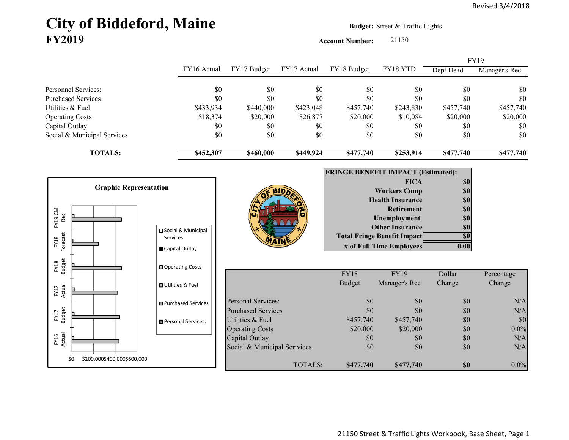## City of Biddeford, Maine **Budget:** Street & Traffic Lights **FY2019**

**Account Number:** 21150

FY16 Actual FY17 Budget FY17 Actual FY18 Budget FY18 YTD Dept Head Manager's Rec Personnel Services: \$0 \$0 \$0 \$0 \$0 \$0 \$0 Purchased Services \$0 \$0 \$0 \$0 \$0 \$0 \$0 Utilities & Fuel \$433,934 \$440,000 \$423,048 \$457,740 \$243,830 \$457,740 \$457,740 Operating Costs \$18,374 \$20,000 \$26,877 \$20,000 \$10,084 \$20,000 \$20,000 Capital Outlay \$0 \$0 \$0 \$0 \$0 \$0 Social & Municipal Services \$0 \$0 \$0 \$0 \$0 \$0 \$0 **TOTALS: \$452,307 \$460,000 \$449,924 \$477,740 \$253,914 \$477,740 \$477,740** FY19

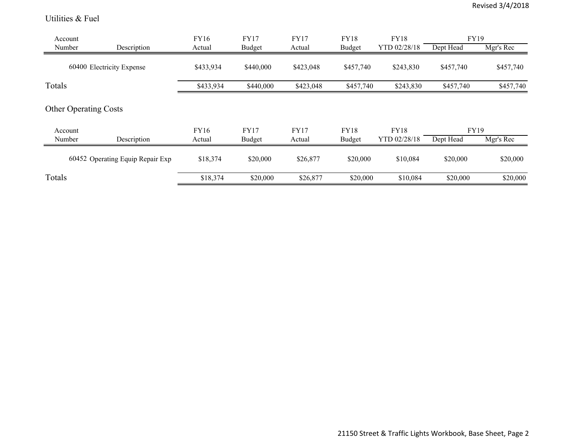Utilities & Fuel

| Account |                                  | FY16        | <b>FY17</b>   | <b>FY17</b> | <b>FY18</b> | <b>FY18</b>  | FY19        |           |
|---------|----------------------------------|-------------|---------------|-------------|-------------|--------------|-------------|-----------|
| Number  | Description                      | Actual      | Budget        | Actual      | Budget      | YTD 02/28/18 | Dept Head   | Mgr's Rec |
|         | 60400 Electricity Expense        | \$433,934   | \$440,000     | \$423,048   | \$457,740   | \$243,830    | \$457,740   | \$457,740 |
| Totals  |                                  | \$433,934   | \$440,000     | \$423,048   | \$457,740   | \$243,830    | \$457,740   | \$457,740 |
| Account | <b>Other Operating Costs</b>     | <b>FY16</b> | <b>FY17</b>   | <b>FY17</b> | <b>FY18</b> | <b>FY18</b>  | <b>FY19</b> |           |
| Number  | Description                      | Actual      | <b>Budget</b> | Actual      | Budget      | YTD 02/28/18 | Dept Head   | Mgr's Rec |
|         | 60452 Operating Equip Repair Exp | \$18,374    | \$20,000      | \$26,877    | \$20,000    | \$10,084     | \$20,000    | \$20,000  |
| Totals  |                                  | \$18,374    | \$20,000      | \$26,877    | \$20,000    | \$10,084     | \$20,000    | \$20,000  |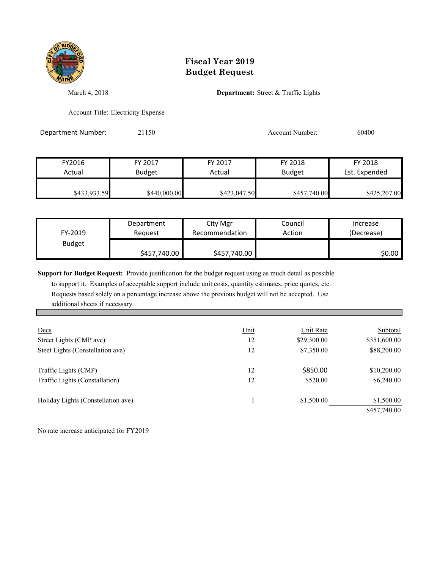

## **Fiscal Year 2019 Budget Request**

March 4, 2018 **Department:** Street & Traffic Lights

Account Title: Electricity Expense

Department Number: 21150 2010 2010 Account Number: 60400

| FY2016       | FY 2017      | FY 2017      | FY 2018       | FY 2018       |  |
|--------------|--------------|--------------|---------------|---------------|--|
| Actual       | Budget       | Actual       | <b>Budget</b> | Est. Expended |  |
| \$433,933.59 | \$440,000.00 | \$423,047.50 | \$457,740.00  | \$425,207.00  |  |

| FY-2019       | Department   | City Mgr       | Council | Increase   |
|---------------|--------------|----------------|---------|------------|
|               | Reauest      | Recommendation | Action  | (Decrease) |
| <b>Budget</b> | \$457,740.00 | \$457,740.00   |         | \$0.00 l   |

**Support for Budget Request:** Provide justification for the budget request using as much detail as possible

 to support it. Examples of acceptable support include unit costs, quantity estimates, price quotes, etc. Requests based solely on a percentage increase above the previous budget will not be accepted. Use additional sheets if necessary.

| Decs                               | Unit | Unit Rate   | Subtotal     |
|------------------------------------|------|-------------|--------------|
| Street Lights (CMP ave)            | 12   | \$29,300.00 | \$351,600.00 |
| Steet Lights (Constellation ave)   | 12   | \$7,350.00  | \$88,200.00  |
| Traffic Lights (CMP)               | 12   | \$850.00    | \$10,200.00  |
| Traffic Lights (Constallation)     | 12   | \$520.00    | \$6,240.00   |
| Holiday Lights (Constellation ave) |      | \$1,500.00  | \$1,500.00   |
|                                    |      |             | \$457,740.00 |

No rate increase anticipated for FY2019